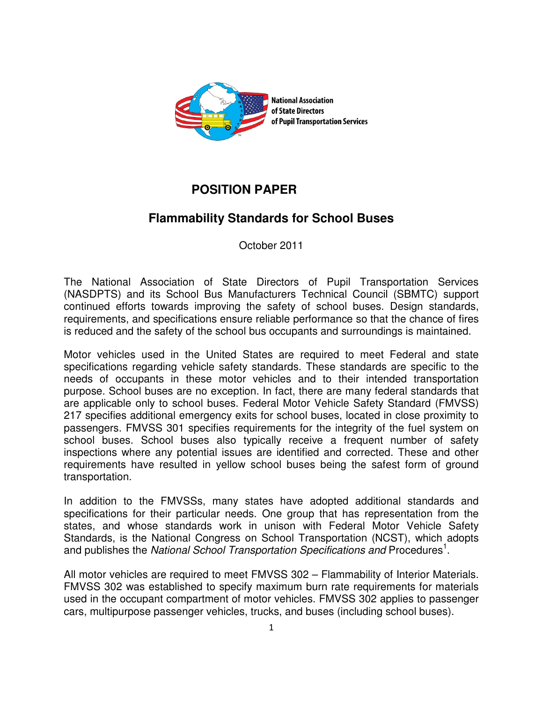

## **POSITION PAPER**

## **Flammability Standards for School Buses**

October 2011

The National Association of State Directors of Pupil Transportation Services (NASDPTS) and its School Bus Manufacturers Technical Council (SBMTC) support continued efforts towards improving the safety of school buses. Design standards, requirements, and specifications ensure reliable performance so that the chance of fires is reduced and the safety of the school bus occupants and surroundings is maintained.

Motor vehicles used in the United States are required to meet Federal and state specifications regarding vehicle safety standards. These standards are specific to the needs of occupants in these motor vehicles and to their intended transportation purpose. School buses are no exception. In fact, there are many federal standards that are applicable only to school buses. Federal Motor Vehicle Safety Standard (FMVSS) 217 specifies additional emergency exits for school buses, located in close proximity to passengers. FMVSS 301 specifies requirements for the integrity of the fuel system on school buses. School buses also typically receive a frequent number of safety inspections where any potential issues are identified and corrected. These and other requirements have resulted in yellow school buses being the safest form of ground transportation.

In addition to the FMVSSs, many states have adopted additional standards and specifications for their particular needs. One group that has representation from the states, and whose standards work in unison with Federal Motor Vehicle Safety Standards, is the National Congress on School Transportation (NCST), which adopts and publishes the National School Transportation Specifications and Procedures<sup>1</sup>.

All motor vehicles are required to meet FMVSS 302 – Flammability of Interior Materials. FMVSS 302 was established to specify maximum burn rate requirements for materials used in the occupant compartment of motor vehicles. FMVSS 302 applies to passenger cars, multipurpose passenger vehicles, trucks, and buses (including school buses).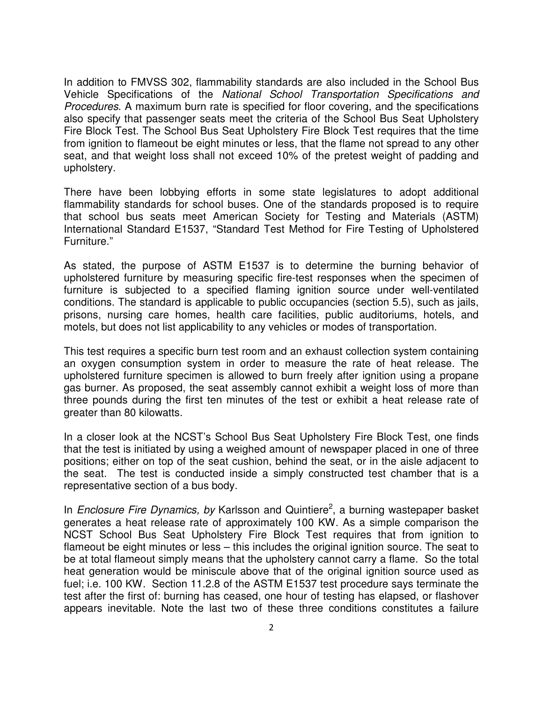In addition to FMVSS 302, flammability standards are also included in the School Bus Vehicle Specifications of the National School Transportation Specifications and Procedures. A maximum burn rate is specified for floor covering, and the specifications also specify that passenger seats meet the criteria of the School Bus Seat Upholstery Fire Block Test. The School Bus Seat Upholstery Fire Block Test requires that the time from ignition to flameout be eight minutes or less, that the flame not spread to any other seat, and that weight loss shall not exceed 10% of the pretest weight of padding and upholstery.

There have been lobbying efforts in some state legislatures to adopt additional flammability standards for school buses. One of the standards proposed is to require that school bus seats meet American Society for Testing and Materials (ASTM) International Standard E1537, "Standard Test Method for Fire Testing of Upholstered Furniture."

As stated, the purpose of ASTM E1537 is to determine the burning behavior of upholstered furniture by measuring specific fire-test responses when the specimen of furniture is subjected to a specified flaming ignition source under well-ventilated conditions. The standard is applicable to public occupancies (section 5.5), such as jails, prisons, nursing care homes, health care facilities, public auditoriums, hotels, and motels, but does not list applicability to any vehicles or modes of transportation.

This test requires a specific burn test room and an exhaust collection system containing an oxygen consumption system in order to measure the rate of heat release. The upholstered furniture specimen is allowed to burn freely after ignition using a propane gas burner. As proposed, the seat assembly cannot exhibit a weight loss of more than three pounds during the first ten minutes of the test or exhibit a heat release rate of greater than 80 kilowatts.

In a closer look at the NCST's School Bus Seat Upholstery Fire Block Test, one finds that the test is initiated by using a weighed amount of newspaper placed in one of three positions; either on top of the seat cushion, behind the seat, or in the aisle adjacent to the seat. The test is conducted inside a simply constructed test chamber that is a representative section of a bus body.

In Enclosure Fire Dynamics, by Karlsson and Quintiere<sup>2</sup>, a burning wastepaper basket generates a heat release rate of approximately 100 KW. As a simple comparison the NCST School Bus Seat Upholstery Fire Block Test requires that from ignition to flameout be eight minutes or less – this includes the original ignition source. The seat to be at total flameout simply means that the upholstery cannot carry a flame. So the total heat generation would be miniscule above that of the original ignition source used as fuel; i.e. 100 KW. Section 11.2.8 of the ASTM E1537 test procedure says terminate the test after the first of: burning has ceased, one hour of testing has elapsed, or flashover appears inevitable. Note the last two of these three conditions constitutes a failure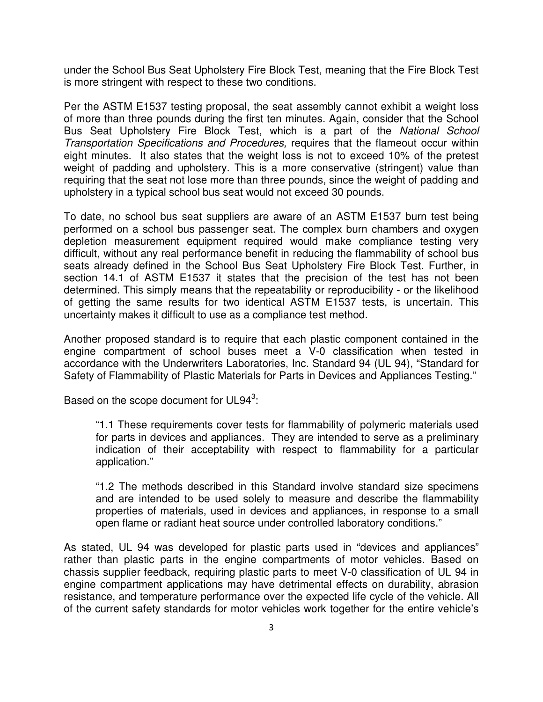under the School Bus Seat Upholstery Fire Block Test, meaning that the Fire Block Test is more stringent with respect to these two conditions.

Per the ASTM E1537 testing proposal, the seat assembly cannot exhibit a weight loss of more than three pounds during the first ten minutes. Again, consider that the School Bus Seat Upholstery Fire Block Test, which is a part of the National School Transportation Specifications and Procedures, requires that the flameout occur within eight minutes. It also states that the weight loss is not to exceed 10% of the pretest weight of padding and upholstery. This is a more conservative (stringent) value than requiring that the seat not lose more than three pounds, since the weight of padding and upholstery in a typical school bus seat would not exceed 30 pounds.

To date, no school bus seat suppliers are aware of an ASTM E1537 burn test being performed on a school bus passenger seat. The complex burn chambers and oxygen depletion measurement equipment required would make compliance testing very difficult, without any real performance benefit in reducing the flammability of school bus seats already defined in the School Bus Seat Upholstery Fire Block Test. Further, in section 14.1 of ASTM E1537 it states that the precision of the test has not been determined. This simply means that the repeatability or reproducibility - or the likelihood of getting the same results for two identical ASTM E1537 tests, is uncertain. This uncertainty makes it difficult to use as a compliance test method.

Another proposed standard is to require that each plastic component contained in the engine compartment of school buses meet a V-0 classification when tested in accordance with the Underwriters Laboratories, Inc. Standard 94 (UL 94), "Standard for Safety of Flammability of Plastic Materials for Parts in Devices and Appliances Testing."

Based on the scope document for UL94 $3$ :

"1.1 These requirements cover tests for flammability of polymeric materials used for parts in devices and appliances. They are intended to serve as a preliminary indication of their acceptability with respect to flammability for a particular application."

"1.2 The methods described in this Standard involve standard size specimens and are intended to be used solely to measure and describe the flammability properties of materials, used in devices and appliances, in response to a small open flame or radiant heat source under controlled laboratory conditions."

As stated, UL 94 was developed for plastic parts used in "devices and appliances" rather than plastic parts in the engine compartments of motor vehicles. Based on chassis supplier feedback, requiring plastic parts to meet V-0 classification of UL 94 in engine compartment applications may have detrimental effects on durability, abrasion resistance, and temperature performance over the expected life cycle of the vehicle. All of the current safety standards for motor vehicles work together for the entire vehicle's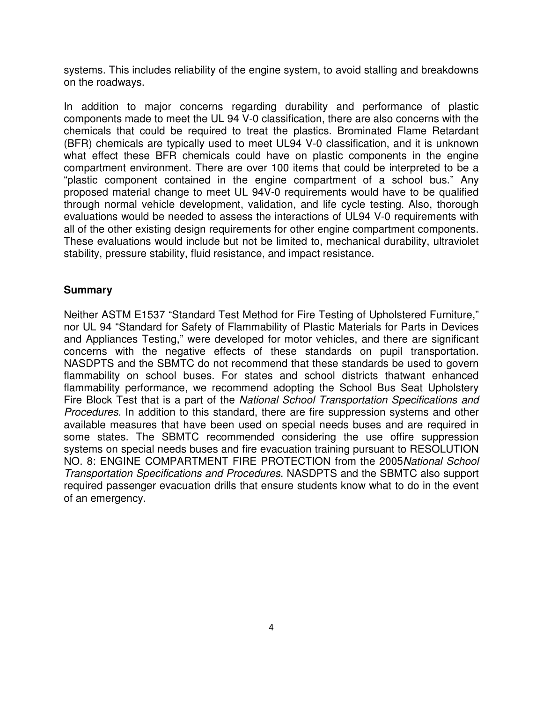systems. This includes reliability of the engine system, to avoid stalling and breakdowns on the roadways.

In addition to major concerns regarding durability and performance of plastic components made to meet the UL 94 V-0 classification, there are also concerns with the chemicals that could be required to treat the plastics. Brominated Flame Retardant (BFR) chemicals are typically used to meet UL94 V-0 classification, and it is unknown what effect these BFR chemicals could have on plastic components in the engine compartment environment. There are over 100 items that could be interpreted to be a "plastic component contained in the engine compartment of a school bus." Any proposed material change to meet UL 94V-0 requirements would have to be qualified through normal vehicle development, validation, and life cycle testing. Also, thorough evaluations would be needed to assess the interactions of UL94 V-0 requirements with all of the other existing design requirements for other engine compartment components. These evaluations would include but not be limited to, mechanical durability, ultraviolet stability, pressure stability, fluid resistance, and impact resistance.

## **Summary**

Neither ASTM E1537 "Standard Test Method for Fire Testing of Upholstered Furniture," nor UL 94 "Standard for Safety of Flammability of Plastic Materials for Parts in Devices and Appliances Testing," were developed for motor vehicles, and there are significant concerns with the negative effects of these standards on pupil transportation. NASDPTS and the SBMTC do not recommend that these standards be used to govern flammability on school buses. For states and school districts thatwant enhanced flammability performance, we recommend adopting the School Bus Seat Upholstery Fire Block Test that is a part of the National School Transportation Specifications and Procedures. In addition to this standard, there are fire suppression systems and other available measures that have been used on special needs buses and are required in some states. The SBMTC recommended considering the use offire suppression systems on special needs buses and fire evacuation training pursuant to RESOLUTION NO. 8: ENGINE COMPARTMENT FIRE PROTECTION from the 2005National School Transportation Specifications and Procedures. NASDPTS and the SBMTC also support required passenger evacuation drills that ensure students know what to do in the event of an emergency.